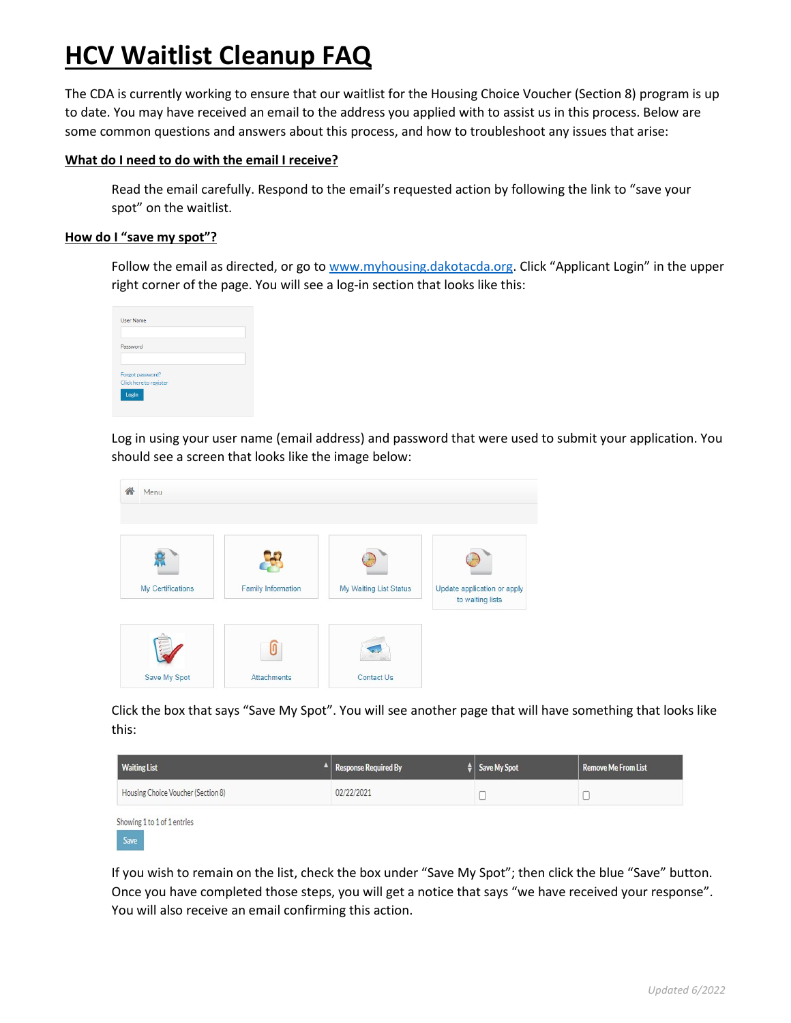# **HCV Waitlist Cleanup FAQ**

The CDA is currently working to ensure that our waitlist for the Housing Choice Voucher (Section 8) program is up to date. You may have received an email to the address you applied with to assist us in this process. Below are some common questions and answers about this process, and how to troubleshoot any issues that arise:

# **What do I need to do with the email I receive?**

Read the email carefully. Respond to the email's requested action by following the link to "save your spot" on the waitlist.

# **How do I "save my spot"?**

Follow the email as directed, or go to [www.myhousing.dakotacda.org.](http://www.myhousing.dakotacda.org/) Click "Applicant Login" in the upper right corner of the page. You will see a log-in section that looks like this:

| <b>User Name</b>                           |  |  |
|--------------------------------------------|--|--|
| Password                                   |  |  |
| Forgot password?<br>Click here to register |  |  |
| Login                                      |  |  |

Log in using your user name (email address) and password that were used to submit your application. You should see a screen that looks like the image below:



Click the box that says "Save My Spot". You will see another page that will have something that looks like this:

| <b>Waiting List</b>                 | $\mathbb{R}$ Response Required By | $\frac{4}{7}$ Save My Spot | Remove Me From List |
|-------------------------------------|-----------------------------------|----------------------------|---------------------|
| Housing Choice Voucher (Section 8)  | 02/22/2021                        |                            |                     |
| Showing 1 to 1 of 1 entries<br>Save |                                   |                            |                     |

If you wish to remain on the list, check the box under "Save My Spot"; then click the blue "Save" button. Once you have completed those steps, you will get a notice that says "we have received your response". You will also receive an email confirming this action.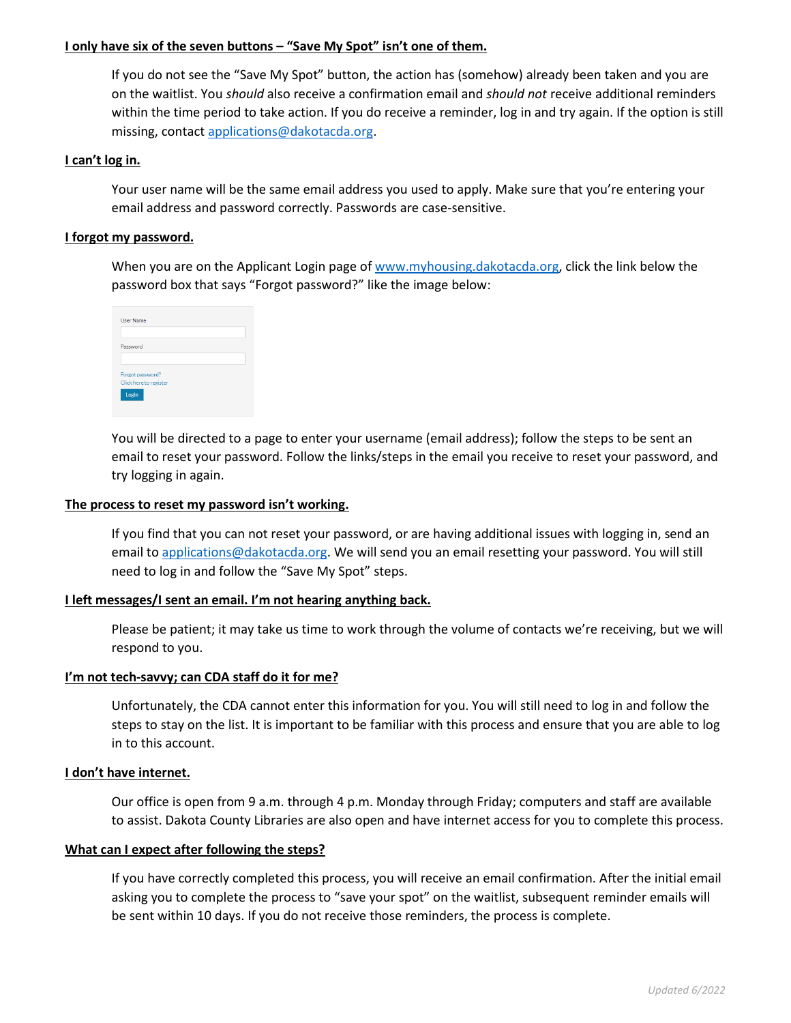## **I only have six of the seven buttons – "Save My Spot" isn't one of them.**

If you do not see the "Save My Spot" button, the action has (somehow) already been taken and you are on the waitlist. You *should* also receive a confirmation email and *should not* receive additional reminders within the time period to take action. If you do receive a reminder, log in and try again. If the option is still missing, contact [applications@dakotacda.org.](mailto:applications@dakotacda.org)

## **I can't log in.**

Your user name will be the same email address you used to apply. Make sure that you're entering your email address and password correctly. Passwords are case-sensitive.

## **I forgot my password.**

When you are on the Applicant Login page of [www.myhousing.dakotacda.org,](http://www.myhousing.dakotacda.org/) click the link below the password box that says "Forgot password?" like the image below:

| <b>User Name</b>                           |  |  |
|--------------------------------------------|--|--|
| Password                                   |  |  |
| Forgot password?<br>Click here to register |  |  |
| Login                                      |  |  |

You will be directed to a page to enter your username (email address); follow the steps to be sent an email to reset your password. Follow the links/steps in the email you receive to reset your password, and try logging in again.

## **The process to reset my password isn't working.**

If you find that you can not reset your password, or are having additional issues with logging in, send an email t[o applications@dakotacda.org.](mailto:applications@dakotacda.org) We will send you an email resetting your password. You will still need to log in and follow the "Save My Spot" steps.

#### **I left messages/I sent an email. I'm not hearing anything back.**

Please be patient; it may take us time to work through the volume of contacts we're receiving, but we will respond to you.

#### **I'm not tech-savvy; can CDA staff do it for me?**

Unfortunately, the CDA cannot enter this information for you. You will still need to log in and follow the steps to stay on the list. It is important to be familiar with this process and ensure that you are able to log in to this account.

#### **I don't have internet.**

Our office is open from 9 a.m. through 4 p.m. Monday through Friday; computers and staff are available to assist. Dakota County Libraries are also open and have internet access for you to complete this process.

#### **What can I expect after following the steps?**

If you have correctly completed this process, you will receive an email confirmation. After the initial email asking you to complete the process to "save your spot" on the waitlist, subsequent reminder emails will be sent within 10 days. If you do not receive those reminders, the process is complete.